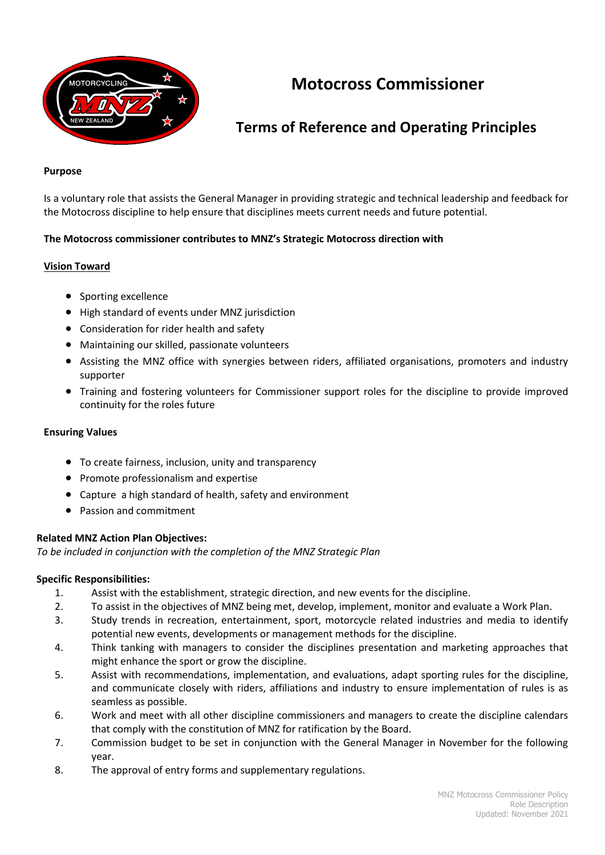

# **Motocross Commissioner**

## **Terms of Reference and Operating Principles**

#### **Purpose**

Is a voluntary role that assists the General Manager in providing strategic and technical leadership and feedback for the Motocross discipline to help ensure that disciplines meets current needs and future potential.

## **The Motocross commissioner contributes to MNZ's Strategic Motocross direction with**

#### **Vision Toward**

- Sporting excellence
- High standard of events under MNZ jurisdiction
- Consideration for rider health and safety
- Maintaining our skilled, passionate volunteers
- Assisting the MNZ office with synergies between riders, affiliated organisations, promoters and industry supporter
- Training and fostering volunteers for Commissioner support roles for the discipline to provide improved continuity for the roles future

#### **Ensuring Values**

- To create fairness, inclusion, unity and transparency
- Promote professionalism and expertise
- Capture a high standard of health, safety and environment
- Passion and commitment

## **Related MNZ Action Plan Objectives:**

*To be included in conjunction with the completion of the MNZ Strategic Plan*

#### **Specific Responsibilities:**

- 1. Assist with the establishment, strategic direction, and new events for the discipline.
- 2. To assist in the objectives of MNZ being met, develop, implement, monitor and evaluate a Work Plan.
- 3. Study trends in recreation, entertainment, sport, motorcycle related industries and media to identify potential new events, developments or management methods for the discipline.
- 4. Think tanking with managers to consider the disciplines presentation and marketing approaches that might enhance the sport or grow the discipline.
- 5. Assist with recommendations, implementation, and evaluations, adapt sporting rules for the discipline, and communicate closely with riders, affiliations and industry to ensure implementation of rules is as seamless as possible.
- 6. Work and meet with all other discipline commissioners and managers to create the discipline calendars that comply with the constitution of MNZ for ratification by the Board.
- 7. Commission budget to be set in conjunction with the General Manager in November for the following year.
- 8. The approval of entry forms and supplementary regulations.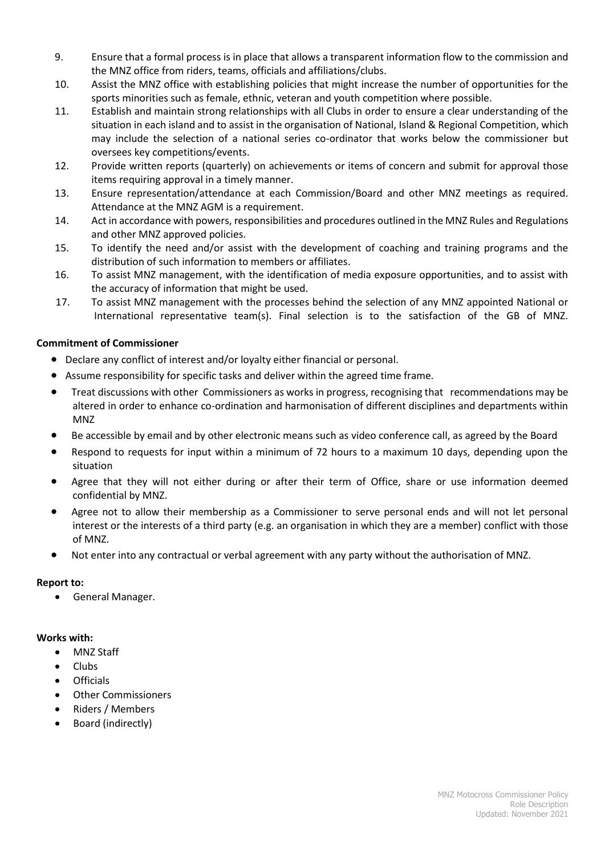- 9. Ensure that a formal process is in place that allows a transparent information flow to the commission and the MNZ office from riders, teams, officials and affiliations/clubs.
- 10. Assist the MNZ office with establishing policies that might increase the number of opportunities for the sports minorities such as female, ethnic, veteran and youth competition where possible.
- 11. Establish and maintain strong relationships with all Clubs in order to ensure a clear understanding of the situation in each island and to assist in the organisation of National, Island & Regional Competition, which may include the selection of a national series co-ordinator that works below the commissioner but oversees key competitions/events.
- 12. Provide written reports (quarterly) on achievements or items of concern and submit for approval those items requiring approval in a timely manner.
- 13. Ensure representation/attendance at each Commission/Board and other MNZ meetings as required. Attendance at the MNZ AGM is a requirement.
- 14. Act in accordance with powers, responsibilities and procedures outlined in the MNZ Rules and Regulations and other MNZ approved policies.
- 15. To identify the need and/or assist with the development of coaching and training programs and the distribution of such information to members or affiliates.
- 16. To assist MNZ management, with the identification of media exposure opportunities, and to assist with the accuracy of information that might be used.
- 17. To assist MNZ management with the processes behind the selection of any MNZ appointed National or International representative team(s). Final selection is to the satisfaction of the GB of MNZ.

## **Commitment of Commissioner**

- Declare any conflict of interest and/or loyalty either financial or personal.
- Assume responsibility for specific tasks and deliver within the agreed time frame.
- **•** Treat discussions with other Commissioners as works in progress, recognising that recommendations may be altered in order to enhance co-ordination and harmonisation of different disciplines and departments within MNZ
- Be accessible by email and by other electronic means such as video conference call, as agreed by the Board
- Respond to requests for input within a minimum of 72 hours to a maximum 10 days, depending upon the situation
- Agree that they will not either during or after their term of Office, share or use information deemed confidential by MNZ.
- Agree not to allow their membership as a Commissioner to serve personal ends and will not let personal interest or the interests of a third party (e.g. an organisation in which they are a member) conflict with those of MNZ.
- Not enter into any contractual or verbal agreement with any party without the authorisation of MNZ.

## **Report to:**

General Manager.

## **Works with:**

- MNZ Staff
- Clubs
- Officials
- Other Commissioners
- Riders / Members
- Board (indirectly)